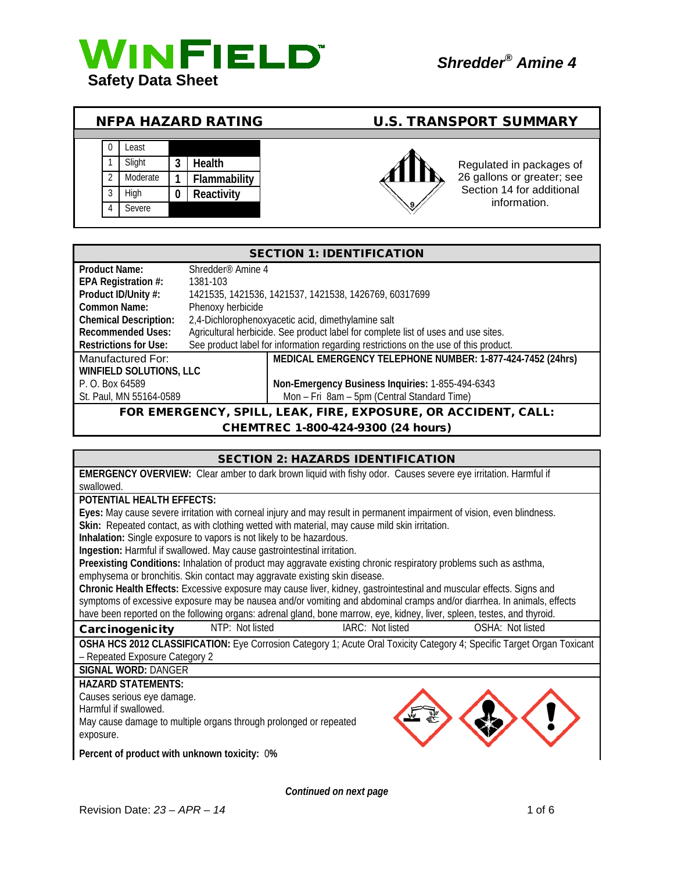

3 High **0 Reactivity**

4 Severe

Section 14 for additional information.

|  |          | <b>NFPA HAZARD RATING</b> | <b>U.S. TRANSPORT SUMMARY</b> |
|--|----------|---------------------------|-------------------------------|
|  |          |                           |                               |
|  | .east    |                           |                               |
|  | Sliaht   | Health                    | Regulated in packages of      |
|  | Moderate | Flammability              | 26 gallons or greater; see    |

SECTION 1: IDENTIFICATION **Product Name:** Shredder® Amine 4 **EPA Registration #:** 1381-103<br>**Product ID/Unity #:** 1421535, **Product ID/Unity #:** 1421535, 1421536, 1421537, 1421538, 1426769, 60317699 **Common Name:** Phenoxy herbicide **Chemical Description:** 2,4-Dichlorophenoxyacetic acid, dimethylamine salt Recommended Uses: Agricultural herbicide. See product label for complete list of uses and use sites.<br>Restrictions for Use: See product label for information regarding restrictions on the use of this productions See product label for information regarding restrictions on the use of this product. Manufactured For: **MEDICAL EMERGENCY TELEPHONE NUMBER: 1-877-424-7452 (24hrs) WINFIELD SOLUTIONS, LLC** P. O. Box 64589 **Non-Emergency Business Inquiries:** 1-855-494-6343

Mon – Fri 8am – 5pm (Central Standard Time)

# FOR EMERGENCY, SPILL, LEAK, FIRE, EXPOSURE, OR ACCIDENT, CALL:

# CHEMTREC 1-800-424-9300 (24 hours)

| <b>SECTION 2: HAZARDS IDENTIFICATION</b>                                                                                                                                                                                                           |
|----------------------------------------------------------------------------------------------------------------------------------------------------------------------------------------------------------------------------------------------------|
| EMERGENCY OVERVIEW: Clear amber to dark brown liquid with fishy odor. Causes severe eye irritation. Harmful if                                                                                                                                     |
| swallowed.                                                                                                                                                                                                                                         |
| POTENTIAL HEALTH EFFECTS:                                                                                                                                                                                                                          |
| Eyes: May cause severe irritation with corneal injury and may result in permanent impairment of vision, even blindness.                                                                                                                            |
| Skin: Repeated contact, as with clothing wetted with material, may cause mild skin irritation.                                                                                                                                                     |
| Inhalation: Single exposure to vapors is not likely to be hazardous.                                                                                                                                                                               |
| Ingestion: Harmful if swallowed. May cause gastrointestinal irritation.                                                                                                                                                                            |
| Preexisting Conditions: Inhalation of product may aggravate existing chronic respiratory problems such as asthma,                                                                                                                                  |
| emphysema or bronchitis. Skin contact may aggravate existing skin disease.                                                                                                                                                                         |
| Chronic Health Effects: Excessive exposure may cause liver, kidney, gastrointestinal and muscular effects. Signs and                                                                                                                               |
| symptoms of excessive exposure may be nausea and/or vomiting and abdominal cramps and/or diarrhea. In animals, effects<br>have been reported on the following organs: adrenal gland, bone marrow, eye, kidney, liver, spleen, testes, and thyroid. |
|                                                                                                                                                                                                                                                    |
| NTP: Not listed<br>IARC: Not listed<br>OSHA: Not listed<br>Carcinogenicity                                                                                                                                                                         |
| OSHA HCS 2012 CLASSIFICATION: Eye Corrosion Category 1; Acute Oral Toxicity Category 4; Specific Target Organ Toxicant                                                                                                                             |
| - Repeated Exposure Category 2                                                                                                                                                                                                                     |
| <b>SIGNAL WORD: DANGER</b>                                                                                                                                                                                                                         |
| <b>HAZARD STATEMENTS:</b>                                                                                                                                                                                                                          |
| Causes serious eye damage.                                                                                                                                                                                                                         |
| Harmful if swallowed.                                                                                                                                                                                                                              |
| May cause damage to multiple organs through prolonged or repeated                                                                                                                                                                                  |
| exposure.                                                                                                                                                                                                                                          |
| Percent of product with unknown toxicity: 0%                                                                                                                                                                                                       |

*Continued on next page*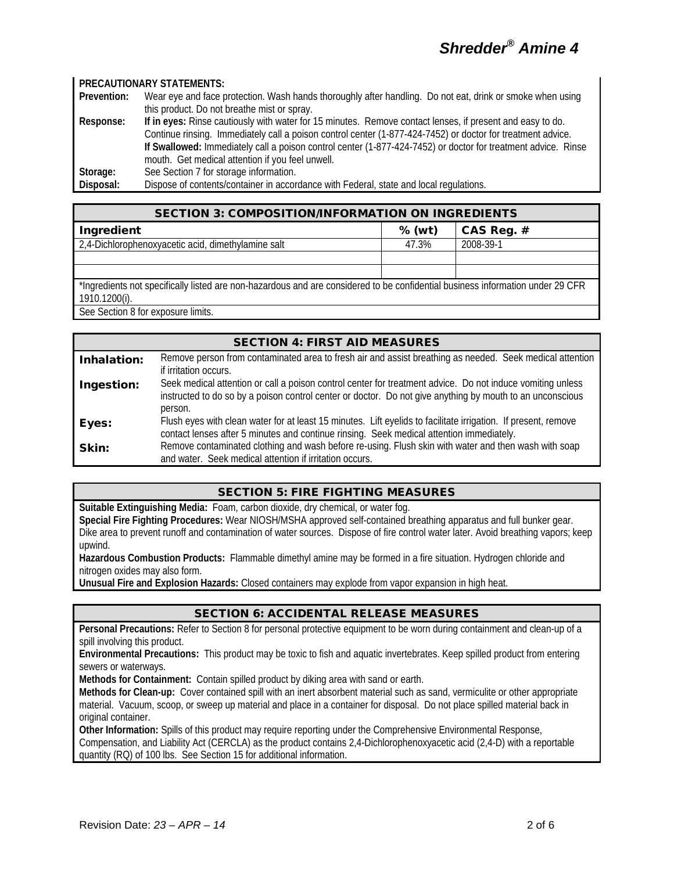#### **PRECAUTIONARY STATEMENTS:**

**Prevention:** Wear eye and face protection. Wash hands thoroughly after handling. Do not eat, drink or smoke when using this product. Do not breathe mist or spray. **Response: If in eyes:** Rinse cautiously with water for 15 minutes. Remove contact lenses, if present and easy to do.

Continue rinsing. Immediately call a poison control center (1-877-424-7452) or doctor for treatment advice. **If Swallowed:** Immediately call a poison control center (1-877-424-7452) or doctor for treatment advice. Rinse mouth. Get medical attention if you feel unwell.

**Storage:** See Section 7 for storage information.<br> **Disposal:** Dispose of contents/container in accor Dispose of contents/container in accordance with Federal, state and local regulations.

| <b>SECTION 3: COMPOSITION/INFORMATION ON INGREDIENTS</b>                                                                                        |          |              |
|-------------------------------------------------------------------------------------------------------------------------------------------------|----------|--------------|
| Ingredient                                                                                                                                      | $%$ (wt) | CAS Reg. $#$ |
| 2,4-Dichlorophenoxyacetic acid, dimethylamine salt                                                                                              | 47.3%    | 2008-39-1    |
|                                                                                                                                                 |          |              |
|                                                                                                                                                 |          |              |
| *Ingredients not specifically listed are non-hazardous and are considered to be confidential business information under 29 CFR<br>1910.1200(i). |          |              |

See Section 8 for exposure limits.

## SECTION 4: FIRST AID MEASURES Inhalation: Remove person from contaminated area to fresh air and assist breathing as needed. Seek medical attention if irritation occurs. Ingestion: Seek medical attention or call a poison control center for treatment advice. Do not induce vomiting unless instructed to do so by a poison control center or doctor. Do not give anything by mouth to an unconscious person. Eyes: Flush eyes with clean water for at least 15 minutes. Lift eyelids to facilitate irrigation. If present, remove contact lenses after 5 minutes and continue rinsing. Seek medical attention immediately. **Skin:** Remove contaminated clothing and wash before re-using. Flush skin with water and then wash with soap and water. Seek medical attention if irritation occurs.

# SECTION 5: FIRE FIGHTING MEASURES

**Suitable Extinguishing Media:** Foam, carbon dioxide, dry chemical, or water fog.

**Special Fire Fighting Procedures:** Wear NIOSH/MSHA approved self-contained breathing apparatus and full bunker gear. Dike area to prevent runoff and contamination of water sources. Dispose of fire control water later. Avoid breathing vapors; keep upwind.

**Hazardous Combustion Products:** Flammable dimethyl amine may be formed in a fire situation. Hydrogen chloride and nitrogen oxides may also form.

**Unusual Fire and Explosion Hazards:** Closed containers may explode from vapor expansion in high heat.

# SECTION 6: ACCIDENTAL RELEASE MEASURES

**Personal Precautions:** Refer to Section 8 for personal protective equipment to be worn during containment and clean-up of a spill involving this product.

**Environmental Precautions:** This product may be toxic to fish and aquatic invertebrates. Keep spilled product from entering sewers or waterways.

**Methods for Containment:** Contain spilled product by diking area with sand or earth.

**Methods for Clean-up:** Cover contained spill with an inert absorbent material such as sand, vermiculite or other appropriate material. Vacuum, scoop, or sweep up material and place in a container for disposal. Do not place spilled material back in original container.

**Other Information:** Spills of this product may require reporting under the Comprehensive Environmental Response, Compensation, and Liability Act (CERCLA) as the product contains 2,4-Dichlorophenoxyacetic acid (2,4-D) with a reportable quantity (RQ) of 100 lbs. See Section 15 for additional information.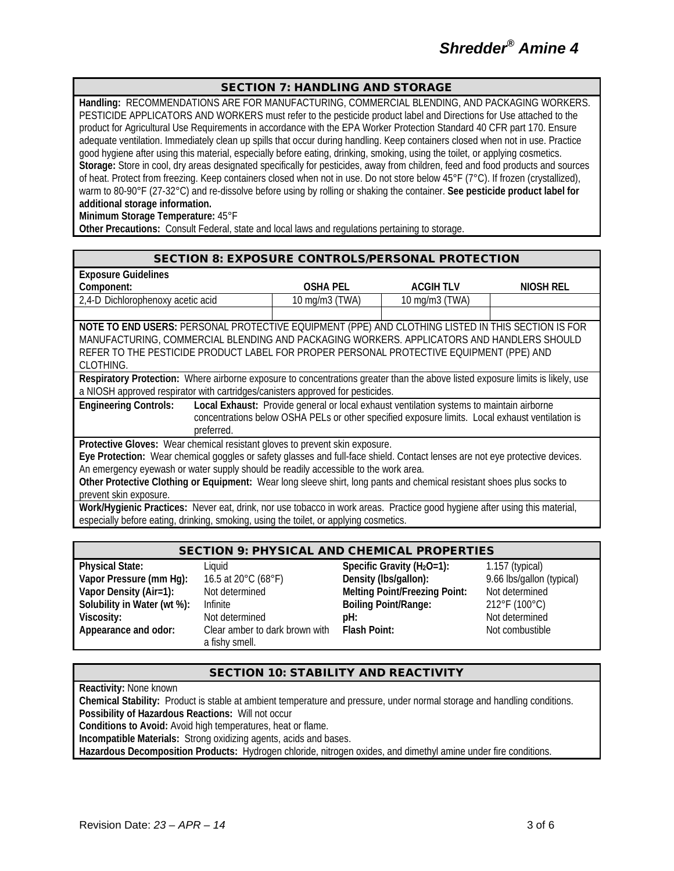## SECTION 7: HANDLING AND STORAGE

**Handling:** RECOMMENDATIONS ARE FOR MANUFACTURING, COMMERCIAL BLENDING, AND PACKAGING WORKERS. PESTICIDE APPLICATORS AND WORKERS must refer to the pesticide product label and Directions for Use attached to the product for Agricultural Use Requirements in accordance with the EPA Worker Protection Standard 40 CFR part 170. Ensure adequate ventilation. Immediately clean up spills that occur during handling. Keep containers closed when not in use. Practice good hygiene after using this material, especially before eating, drinking, smoking, using the toilet, or applying cosmetics. **Storage:** Store in cool, dry areas designated specifically for pesticides, away from children, feed and food products and sources of heat. Protect from freezing. Keep containers closed when not in use. Do not store below 45°F (7°C). If frozen (crystallized), warm to 80-90°F (27-32°C) and re-dissolve before using by rolling or shaking the container. **See pesticide product label for additional storage information.**

**Minimum Storage Temperature:** 45°F

**Other Precautions:** Consult Federal, state and local laws and regulations pertaining to storage.

#### SECTION 8: EXPOSURE CONTROLS/PERSONAL PROTECTION

| <b>Exposure Guidelines</b>        |                                     |                                     |           |
|-----------------------------------|-------------------------------------|-------------------------------------|-----------|
| Component:                        | <b>OSHA PEL</b>                     | ACGIH TLV                           | NIOSH REL |
| 2.4-D Dichlorophenoxy acetic acid | $10 \text{ mg/m}$ $3 \text{ (TWA)}$ | $10 \text{ mg/m}$ $3 \text{ (TWA)}$ |           |
|                                   |                                     |                                     |           |

**NOTE TO END USERS:** PERSONAL PROTECTIVE EQUIPMENT (PPE) AND CLOTHING LISTED IN THIS SECTION IS FOR MANUFACTURING, COMMERCIAL BLENDING AND PACKAGING WORKERS. APPLICATORS AND HANDLERS SHOULD REFER TO THE PESTICIDE PRODUCT LABEL FOR PROPER PERSONAL PROTECTIVE EQUIPMENT (PPE) AND CLOTHING.

**Respiratory Protection:** Where airborne exposure to concentrations greater than the above listed exposure limits is likely, use a NIOSH approved respirator with cartridges/canisters approved for pesticides.

**Engineering Controls: Local Exhaust:** Provide general or local exhaust ventilation systems to maintain airborne concentrations below OSHA PELs or other specified exposure limits. Local exhaust ventilation is preferred.

**Protective Gloves:** Wear chemical resistant gloves to prevent skin exposure.

**Eye Protection:** Wear chemical goggles or safety glasses and full-face shield. Contact lenses are not eye protective devices. An emergency eyewash or water supply should be readily accessible to the work area.

**Other Protective Clothing or Equipment:** Wear long sleeve shirt, long pants and chemical resistant shoes plus socks to prevent skin exposure.

**Work/Hygienic Practices:** Never eat, drink, nor use tobacco in work areas. Practice good hygiene after using this material, especially before eating, drinking, smoking, using the toilet, or applying cosmetics.

## SECTION 9: PHYSICAL AND CHEMICAL PROPERTIES

| <b>Physical State:</b>      | Liauid                         | Specific Gravity ( $H_2O=1$ ):       | $1.157$ (typical)         |
|-----------------------------|--------------------------------|--------------------------------------|---------------------------|
| Vapor Pressure (mm Hg):     | 16.5 at 20°C (68°F)            | Density (Ibs/gallon):                | 9.66 lbs/gallon (typical) |
| Vapor Density (Air=1):      | Not determined                 | <b>Melting Point/Freezing Point:</b> | Not determined            |
| Solubility in Water (wt %): | Infinite                       | <b>Boiling Point/Range:</b>          | 212°F (100°C)             |
| Viscosity:                  | Not determined                 | pH:                                  | Not determined            |
| Appearance and odor:        | Clear amber to dark brown with | Flash Point:                         | Not combustible           |
|                             | a fishy smell.                 |                                      |                           |

# SECTION 10: STABILITY AND REACTIVITY

**Reactivity:** None known

**Chemical Stability:** Product is stable at ambient temperature and pressure, under normal storage and handling conditions. **Possibility of Hazardous Reactions:** Will not occur

**Conditions to Avoid:** Avoid high temperatures, heat or flame.

**Incompatible Materials:** Strong oxidizing agents, acids and bases.

**Hazardous Decomposition Products:** Hydrogen chloride, nitrogen oxides, and dimethyl amine under fire conditions.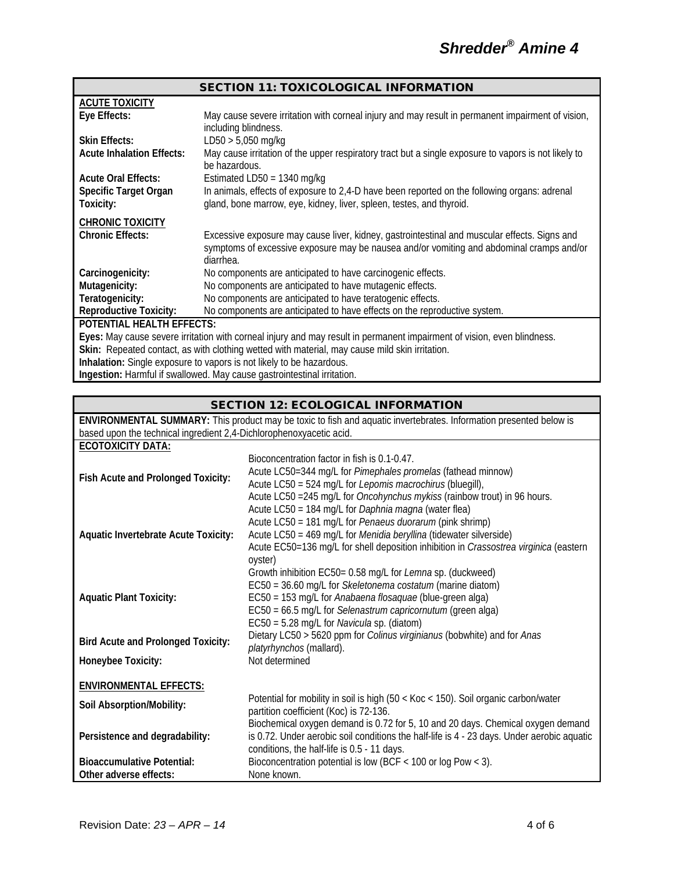|                                  | <b>SECTION 11: TOXICOLOGICAL INFORMATION</b>                                                                            |
|----------------------------------|-------------------------------------------------------------------------------------------------------------------------|
| <b>ACUTE TOXICITY</b>            |                                                                                                                         |
| Eye Effects:                     | May cause severe irritation with corneal injury and may result in permanent impairment of vision,                       |
|                                  | including blindness.                                                                                                    |
| <b>Skin Effects:</b>             | $LD50 > 5,050$ mg/kg                                                                                                    |
| <b>Acute Inhalation Effects:</b> | May cause irritation of the upper respiratory tract but a single exposure to vapors is not likely to<br>be hazardous.   |
| <b>Acute Oral Effects:</b>       | Estimated LD50 = $1340$ mg/kg                                                                                           |
| <b>Specific Target Organ</b>     | In animals, effects of exposure to 2,4-D have been reported on the following organs: adrenal                            |
| Toxicity:                        | gland, bone marrow, eye, kidney, liver, spleen, testes, and thyroid.                                                    |
| <b>CHRONIC TOXICITY</b>          |                                                                                                                         |
| <b>Chronic Effects:</b>          | Excessive exposure may cause liver, kidney, gastrointestinal and muscular effects. Signs and                            |
|                                  | symptoms of excessive exposure may be nausea and/or vomiting and abdominal cramps and/or                                |
|                                  | diarrhea.                                                                                                               |
| Carcinogenicity:                 | No components are anticipated to have carcinogenic effects.                                                             |
| Mutagenicity:                    | No components are anticipated to have mutagenic effects.                                                                |
| Teratogenicity:                  | No components are anticipated to have teratogenic effects.                                                              |
| <b>Reproductive Toxicity:</b>    | No components are anticipated to have effects on the reproductive system.                                               |
| <b>POTENTIAL HEALTH EFFECTS:</b> |                                                                                                                         |
|                                  | Eyes: May cause severe irritation with corneal injury and may result in permanent impairment of vision, even blindness. |
|                                  | Skin: Repeated contact, as with clothing wetted with material, may cause mild skin irritation.                          |
|                                  | Inhalation: Single exposure to vapors is not likely to be hazardous.                                                    |
|                                  | Ingestion: Harmful if swallowed. May cause gastrointestinal irritation.                                                 |

# SECTION 12: ECOLOGICAL INFORMATION

|                                                                     | ENVIRONMENTAL SUMMARY: This product may be toxic to fish and aquatic invertebrates. Information presented below is                                                                                                                                                                                |
|---------------------------------------------------------------------|---------------------------------------------------------------------------------------------------------------------------------------------------------------------------------------------------------------------------------------------------------------------------------------------------|
| based upon the technical ingredient 2,4-Dichlorophenoxyacetic acid. |                                                                                                                                                                                                                                                                                                   |
| <b>ECOTOXICITY DATA:</b>                                            |                                                                                                                                                                                                                                                                                                   |
| Fish Acute and Prolonged Toxicity:                                  | Bioconcentration factor in fish is 0.1-0.47.<br>Acute LC50=344 mg/L for Pimephales promelas (fathead minnow)<br>Acute LC50 = 524 mg/L for Lepomis macrochirus (bluegill),<br>Acute LC50 = 245 mg/L for <i>Oncohynchus mykiss</i> (rainbow trout) in 96 hours.                                     |
| <b>Aquatic Invertebrate Acute Toxicity:</b>                         | Acute LC50 = 184 mg/L for Daphnia magna (water flea)<br>Acute LC50 = 181 mg/L for Penaeus duorarum (pink shrimp)<br>Acute LC50 = 469 mg/L for Menidia beryllina (tidewater silverside)<br>Acute EC50=136 mg/L for shell deposition inhibition in Crassostrea virginica (eastern<br>oyster)        |
| <b>Aquatic Plant Toxicity:</b>                                      | Growth inhibition EC50= 0.58 mg/L for Lemna sp. (duckweed)<br>EC50 = 36.60 mg/L for Skeletonema costatum (marine diatom)<br>EC50 = 153 mg/L for Anabaena flosaquae (blue-green alga)<br>EC50 = 66.5 mg/L for Selenastrum capricornutum (green alga)<br>EC50 = 5.28 mg/L for Navicula sp. (diatom) |
| <b>Bird Acute and Prolonged Toxicity:</b>                           | Dietary LC50 > 5620 ppm for Colinus virginianus (bobwhite) and for Anas<br>platyrhynchos (mallard).                                                                                                                                                                                               |
| Honeybee Toxicity:                                                  | Not determined                                                                                                                                                                                                                                                                                    |
| <b>ENVIRONMENTAL EFFECTS:</b>                                       |                                                                                                                                                                                                                                                                                                   |
| Soil Absorption/Mobility:                                           | Potential for mobility in soil is high (50 < Koc < 150). Soil organic carbon/water<br>partition coefficient (Koc) is 72-136.                                                                                                                                                                      |
| Persistence and degradability:                                      | Biochemical oxygen demand is 0.72 for 5, 10 and 20 days. Chemical oxygen demand<br>is 0.72. Under aerobic soil conditions the half-life is 4 - 23 days. Under aerobic aquatic<br>conditions, the half-life is 0.5 - 11 days.                                                                      |
| <b>Bioaccumulative Potential:</b>                                   | Bioconcentration potential is low (BCF $<$ 100 or log Pow $<$ 3).                                                                                                                                                                                                                                 |
| Other adverse effects:                                              | None known.                                                                                                                                                                                                                                                                                       |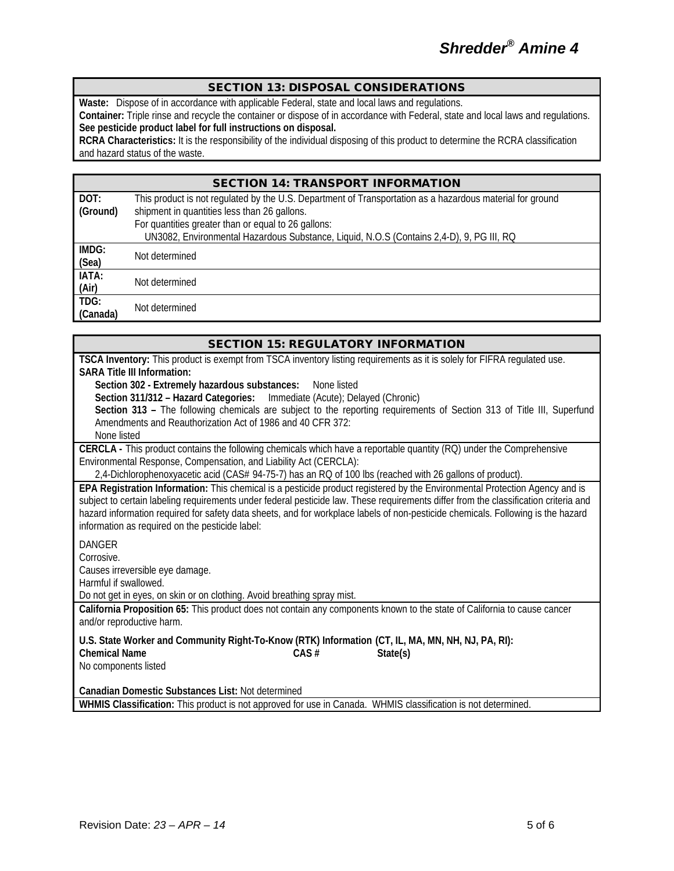## SECTION 13: DISPOSAL CONSIDERATIONS

**Waste:** Dispose of in accordance with applicable Federal, state and local laws and regulations.

**Container:** Triple rinse and recycle the container or dispose of in accordance with Federal, state and local laws and regulations. **See pesticide product label for full instructions on disposal.**

**RCRA Characteristics:** It is the responsibility of the individual disposing of this product to determine the RCRA classification and hazard status of the waste.

## SECTION 14: TRANSPORT INFORMATION

| DOT:     | This product is not regulated by the U.S. Department of Transportation as a hazardous material for ground |
|----------|-----------------------------------------------------------------------------------------------------------|
| (Ground) | shipment in quantities less than 26 gallons.                                                              |
|          | For quantities greater than or equal to 26 gallons:                                                       |
|          | UN3082, Environmental Hazardous Substance, Liquid, N.O.S (Contains 2,4-D), 9, PG III, RQ                  |
| IMDG:    | Not determined                                                                                            |
| (Sea)    |                                                                                                           |
| IATA:    | Not determined                                                                                            |
| (Air)    |                                                                                                           |
| TDG:     | Not determined                                                                                            |
| (Canada) |                                                                                                           |

| TSCA Inventory: This product is exempt from TSCA inventory listing requirements as it is solely for FIFRA regulated use.<br><b>SARA Title III Information:</b><br>Section 302 - Extremely hazardous substances:<br>None listed<br>Section 311/312 - Hazard Categories:<br>Immediate (Acute); Delayed (Chronic)<br>Section 313 - The following chemicals are subject to the reporting requirements of Section 313 of Title III, Superfund<br>Amendments and Reauthorization Act of 1986 and 40 CFR 372:<br>None listed<br>CERCLA - This product contains the following chemicals which have a reportable quantity (RQ) under the Comprehensive<br>Environmental Response, Compensation, and Liability Act (CERCLA):<br>2,4-Dichlorophenoxyacetic acid (CAS# 94-75-7) has an RQ of 100 lbs (reached with 26 gallons of product).<br>EPA Registration Information: This chemical is a pesticide product registered by the Environmental Protection Agency and is<br>subject to certain labeling requirements under federal pesticide law. These requirements differ from the classification criteria and<br>hazard information required for safety data sheets, and for workplace labels of non-pesticide chemicals. Following is the hazard<br>information as required on the pesticide label:<br><b>DANGER</b><br>Corrosive.<br>Causes irreversible eye damage.<br>Harmful if swallowed.<br>Do not get in eyes, on skin or on clothing. Avoid breathing spray mist. |
|--------------------------------------------------------------------------------------------------------------------------------------------------------------------------------------------------------------------------------------------------------------------------------------------------------------------------------------------------------------------------------------------------------------------------------------------------------------------------------------------------------------------------------------------------------------------------------------------------------------------------------------------------------------------------------------------------------------------------------------------------------------------------------------------------------------------------------------------------------------------------------------------------------------------------------------------------------------------------------------------------------------------------------------------------------------------------------------------------------------------------------------------------------------------------------------------------------------------------------------------------------------------------------------------------------------------------------------------------------------------------------------------------------------------------------------------------------------------|
|                                                                                                                                                                                                                                                                                                                                                                                                                                                                                                                                                                                                                                                                                                                                                                                                                                                                                                                                                                                                                                                                                                                                                                                                                                                                                                                                                                                                                                                                    |
|                                                                                                                                                                                                                                                                                                                                                                                                                                                                                                                                                                                                                                                                                                                                                                                                                                                                                                                                                                                                                                                                                                                                                                                                                                                                                                                                                                                                                                                                    |
|                                                                                                                                                                                                                                                                                                                                                                                                                                                                                                                                                                                                                                                                                                                                                                                                                                                                                                                                                                                                                                                                                                                                                                                                                                                                                                                                                                                                                                                                    |
|                                                                                                                                                                                                                                                                                                                                                                                                                                                                                                                                                                                                                                                                                                                                                                                                                                                                                                                                                                                                                                                                                                                                                                                                                                                                                                                                                                                                                                                                    |
|                                                                                                                                                                                                                                                                                                                                                                                                                                                                                                                                                                                                                                                                                                                                                                                                                                                                                                                                                                                                                                                                                                                                                                                                                                                                                                                                                                                                                                                                    |
|                                                                                                                                                                                                                                                                                                                                                                                                                                                                                                                                                                                                                                                                                                                                                                                                                                                                                                                                                                                                                                                                                                                                                                                                                                                                                                                                                                                                                                                                    |
|                                                                                                                                                                                                                                                                                                                                                                                                                                                                                                                                                                                                                                                                                                                                                                                                                                                                                                                                                                                                                                                                                                                                                                                                                                                                                                                                                                                                                                                                    |
|                                                                                                                                                                                                                                                                                                                                                                                                                                                                                                                                                                                                                                                                                                                                                                                                                                                                                                                                                                                                                                                                                                                                                                                                                                                                                                                                                                                                                                                                    |
|                                                                                                                                                                                                                                                                                                                                                                                                                                                                                                                                                                                                                                                                                                                                                                                                                                                                                                                                                                                                                                                                                                                                                                                                                                                                                                                                                                                                                                                                    |
|                                                                                                                                                                                                                                                                                                                                                                                                                                                                                                                                                                                                                                                                                                                                                                                                                                                                                                                                                                                                                                                                                                                                                                                                                                                                                                                                                                                                                                                                    |
|                                                                                                                                                                                                                                                                                                                                                                                                                                                                                                                                                                                                                                                                                                                                                                                                                                                                                                                                                                                                                                                                                                                                                                                                                                                                                                                                                                                                                                                                    |
|                                                                                                                                                                                                                                                                                                                                                                                                                                                                                                                                                                                                                                                                                                                                                                                                                                                                                                                                                                                                                                                                                                                                                                                                                                                                                                                                                                                                                                                                    |
|                                                                                                                                                                                                                                                                                                                                                                                                                                                                                                                                                                                                                                                                                                                                                                                                                                                                                                                                                                                                                                                                                                                                                                                                                                                                                                                                                                                                                                                                    |
|                                                                                                                                                                                                                                                                                                                                                                                                                                                                                                                                                                                                                                                                                                                                                                                                                                                                                                                                                                                                                                                                                                                                                                                                                                                                                                                                                                                                                                                                    |
|                                                                                                                                                                                                                                                                                                                                                                                                                                                                                                                                                                                                                                                                                                                                                                                                                                                                                                                                                                                                                                                                                                                                                                                                                                                                                                                                                                                                                                                                    |
|                                                                                                                                                                                                                                                                                                                                                                                                                                                                                                                                                                                                                                                                                                                                                                                                                                                                                                                                                                                                                                                                                                                                                                                                                                                                                                                                                                                                                                                                    |
|                                                                                                                                                                                                                                                                                                                                                                                                                                                                                                                                                                                                                                                                                                                                                                                                                                                                                                                                                                                                                                                                                                                                                                                                                                                                                                                                                                                                                                                                    |
|                                                                                                                                                                                                                                                                                                                                                                                                                                                                                                                                                                                                                                                                                                                                                                                                                                                                                                                                                                                                                                                                                                                                                                                                                                                                                                                                                                                                                                                                    |
| California Proposition 65: This product does not contain any components known to the state of California to cause cancer<br>and/or reproductive harm.                                                                                                                                                                                                                                                                                                                                                                                                                                                                                                                                                                                                                                                                                                                                                                                                                                                                                                                                                                                                                                                                                                                                                                                                                                                                                                              |
| U.S. State Worker and Community Right-To-Know (RTK) Information (CT, IL, MA, MN, NH, NJ, PA, RI):                                                                                                                                                                                                                                                                                                                                                                                                                                                                                                                                                                                                                                                                                                                                                                                                                                                                                                                                                                                                                                                                                                                                                                                                                                                                                                                                                                  |
| <b>Chemical Name</b><br>CAS#<br>State(s)                                                                                                                                                                                                                                                                                                                                                                                                                                                                                                                                                                                                                                                                                                                                                                                                                                                                                                                                                                                                                                                                                                                                                                                                                                                                                                                                                                                                                           |
| No components listed                                                                                                                                                                                                                                                                                                                                                                                                                                                                                                                                                                                                                                                                                                                                                                                                                                                                                                                                                                                                                                                                                                                                                                                                                                                                                                                                                                                                                                               |
|                                                                                                                                                                                                                                                                                                                                                                                                                                                                                                                                                                                                                                                                                                                                                                                                                                                                                                                                                                                                                                                                                                                                                                                                                                                                                                                                                                                                                                                                    |
| Canadian Domestic Substances List: Not determined                                                                                                                                                                                                                                                                                                                                                                                                                                                                                                                                                                                                                                                                                                                                                                                                                                                                                                                                                                                                                                                                                                                                                                                                                                                                                                                                                                                                                  |
| WHMIS Classification: This product is not approved for use in Canada. WHMIS classification is not determined.                                                                                                                                                                                                                                                                                                                                                                                                                                                                                                                                                                                                                                                                                                                                                                                                                                                                                                                                                                                                                                                                                                                                                                                                                                                                                                                                                      |